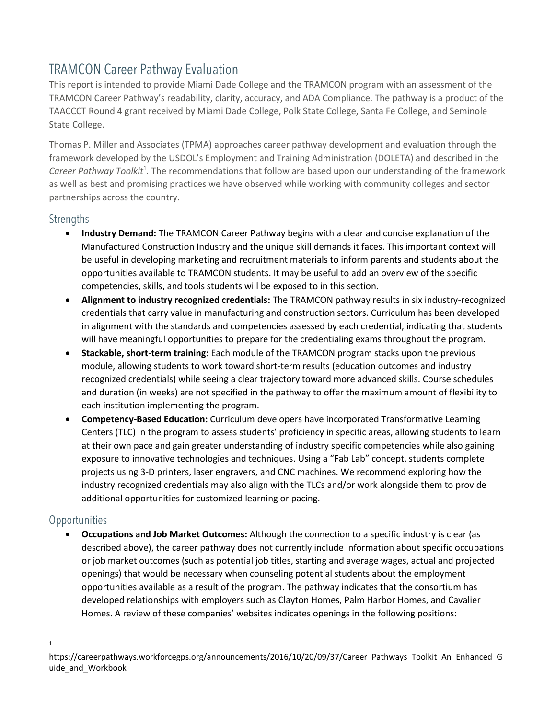### **TRAMCON Career Pathway Evaluation**

This report is intended to provide Miami Dade College and the TRAMCON program with an assessment of the TRAMCON Career Pathway's readability, clarity, accuracy, and ADA Compliance. The pathway is a product of the TAACCCT Round 4 grant received by Miami Dade College, Polk State College, Santa Fe College, and Seminole State College.

Thomas P. Miller and Associates (TPMA) approaches career pathway development and evaluation through the framework developed by the USDOL's Employment and Training Administration (DOLETA) and described in the Career Pathway Toolkit<sup>1</sup>. The recommendations that follow are based upon our understanding of the framework as well as best and promising practices we have observed while working with community colleges and sector partnerships across the country.

#### Strengths

- **Industry Demand:** The TRAMCON Career Pathway begins with a clear and concise explanation of the Manufactured Construction Industry and the unique skill demands it faces. This important context will be useful in developing marketing and recruitment materials to inform parents and students about the opportunities available to TRAMCON students. It may be useful to add an overview of the specific competencies, skills, and tools students will be exposed to in this section.
- **Alignment to industry recognized credentials:** The TRAMCON pathway results in six industry-recognized credentials that carry value in manufacturing and construction sectors. Curriculum has been developed in alignment with the standards and competencies assessed by each credential, indicating that students will have meaningful opportunities to prepare for the credentialing exams throughout the program.
- **Stackable, short-term training:** Each module of the TRAMCON program stacks upon the previous module, allowing students to work toward short-term results (education outcomes and industry recognized credentials) while seeing a clear trajectory toward more advanced skills. Course schedules and duration (in weeks) are not specified in the pathway to offer the maximum amount of flexibility to each institution implementing the program.
- **Competency-Based Education:** Curriculum developers have incorporated Transformative Learning Centers (TLC) in the program to assess students' proficiency in specific areas, allowing students to learn at their own pace and gain greater understanding of industry specific competencies while also gaining exposure to innovative technologies and techniques. Using a "Fab Lab" concept, students complete projects using 3-D printers, laser engravers, and CNC machines. We recommend exploring how the industry recognized credentials may also align with the TLCs and/or work alongside them to provide additional opportunities for customized learning or pacing.

#### Opportunities

 $\overline{a}$ 1  **Occupations and Job Market Outcomes:** Although the connection to a specific industry is clear (as described above), the career pathway does not currently include information about specific occupations or job market outcomes (such as potential job titles, starting and average wages, actual and projected openings) that would be necessary when counseling potential students about the employment opportunities available as a result of the program. The pathway indicates that the consortium has developed relationships with employers such as Clayton Homes, Palm Harbor Homes, and Cavalier Homes. A review of these companies' websites indicates openings in the following positions:

https://careerpathways.workforcegps.org/announcements/2016/10/20/09/37/Career\_Pathways\_Toolkit\_An\_Enhanced\_G uide\_and\_Workbook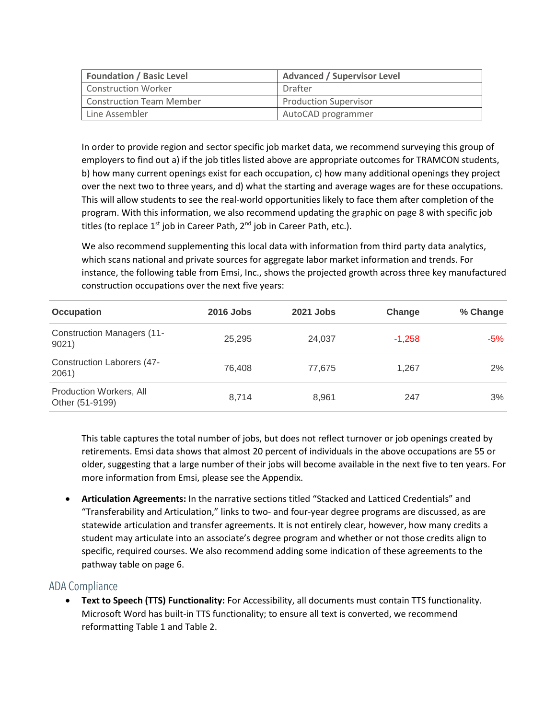| <b>Foundation / Basic Level</b> | <b>Advanced / Supervisor Level</b> |
|---------------------------------|------------------------------------|
| <b>Construction Worker</b>      | Drafter                            |
| <b>Construction Team Member</b> | <b>Production Supervisor</b>       |
| Line Assembler                  | AutoCAD programmer                 |

In order to provide region and sector specific job market data, we recommend surveying this group of employers to find out a) if the job titles listed above are appropriate outcomes for TRAMCON students, b) how many current openings exist for each occupation, c) how many additional openings they project over the next two to three years, and d) what the starting and average wages are for these occupations. This will allow students to see the real-world opportunities likely to face them after completion of the program. With this information, we also recommend updating the graphic on page 8 with specific job titles (to replace 1<sup>st</sup> job in Career Path, 2<sup>nd</sup> job in Career Path, etc.).

We also recommend supplementing this local data with information from third party data analytics, which scans national and private sources for aggregate labor market information and trends. For instance, the following table from Emsi, Inc., shows the projected growth across three key manufactured construction occupations over the next five years:

| <b>Occupation</b>                          | 2016 Jobs | 2021 Jobs | Change   | % Change |
|--------------------------------------------|-----------|-----------|----------|----------|
| <b>Construction Managers (11-</b><br>9021) | 25.295    | 24,037    | $-1,258$ | -5%      |
| <b>Construction Laborers (47-</b><br>2061) | 76.408    | 77,675    | 1.267    | 2%       |
| Production Workers, All<br>Other (51-9199) | 8.714     | 8,961     | 247      | 3%       |

This table captures the total number of jobs, but does not reflect turnover or job openings created by retirements. Emsi data shows that almost 20 percent of individuals in the above occupations are 55 or older, suggesting that a large number of their jobs will become available in the next five to ten years. For more information from Emsi, please see the Appendix.

 **Articulation Agreements:** In the narrative sections titled "Stacked and Latticed Credentials" and "Transferability and Articulation," links to two- and four-year degree programs are discussed, as are statewide articulation and transfer agreements. It is not entirely clear, however, how many credits a student may articulate into an associate's degree program and whether or not those credits align to specific, required courses. We also recommend adding some indication of these agreements to the pathway table on page 6.

#### **ADA Compliance**

 **Text to Speech (TTS) Functionality:** For Accessibility, all documents must contain TTS functionality. Microsoft Word has built-in TTS functionality; to ensure all text is converted, we recommend reformatting Table 1 and Table 2.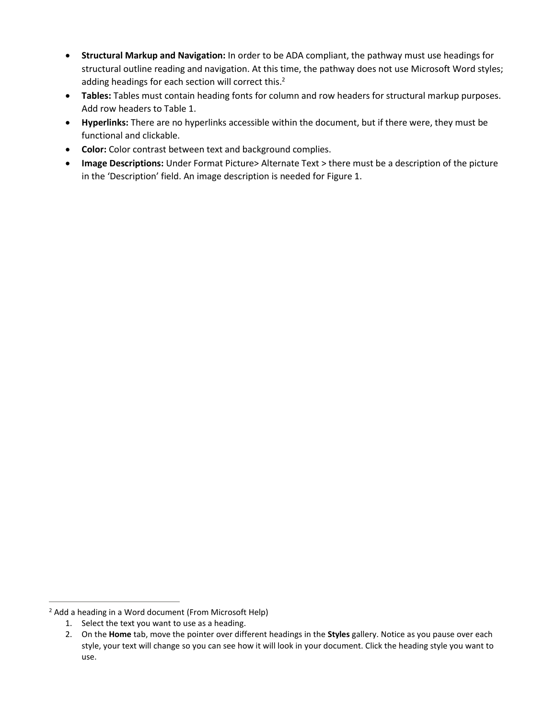- **Structural Markup and Navigation:** In order to be ADA compliant, the pathway must use headings for structural outline reading and navigation. At this time, the pathway does not use Microsoft Word styles; adding headings for each section will correct this.<sup>2</sup>
- **Tables:** Tables must contain heading fonts for column and row headers for structural markup purposes. Add row headers to Table 1.
- **Hyperlinks:** There are no hyperlinks accessible within the document, but if there were, they must be functional and clickable.
- **Color:** Color contrast between text and background complies.
- **Image Descriptions:** Under Format Picture> Alternate Text > there must be a description of the picture in the 'Description' field. An image description is needed for Figure 1.

1

 $2$  Add a heading in a Word document (From Microsoft Help)

<sup>1.</sup> Select the text you want to use as a heading.

<sup>2.</sup> On the **Home** tab, move the pointer over different headings in the **Styles** gallery. Notice as you pause over each style, your text will change so you can see how it will look in your document. Click the heading style you want to use.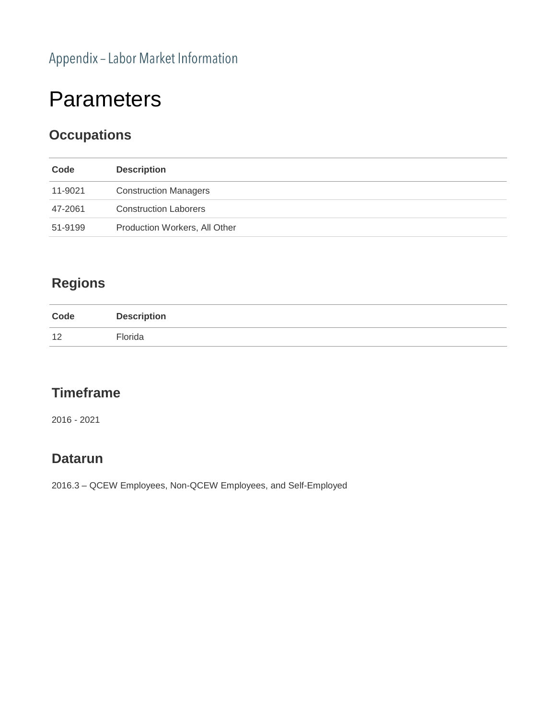# Appendix - Labor Market Information

# **Parameters**

### **Occupations**

| Code    | <b>Description</b>            |
|---------|-------------------------------|
| 11-9021 | <b>Construction Managers</b>  |
| 47-2061 | <b>Construction Laborers</b>  |
| 51-9199 | Production Workers, All Other |

### **Regions**

| Code | <b>Description</b> |
|------|--------------------|
| 12   | Florida            |

### **Timeframe**

2016 - 2021

#### **Datarun**

2016.3 – QCEW Employees, Non-QCEW Employees, and Self-Employed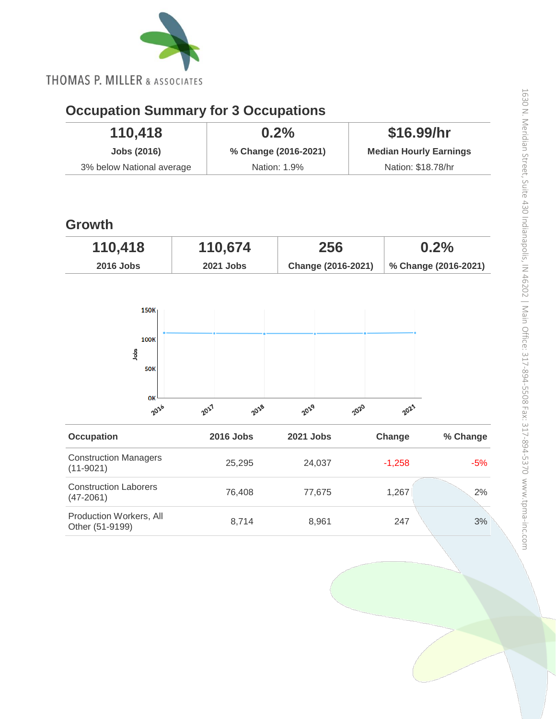

# **Occupation Summary for 3 Occupations**

| 110,418                   | 0.2%                 | \$16.99/hr                    |
|---------------------------|----------------------|-------------------------------|
| <b>Jobs (2016)</b>        | % Change (2016-2021) | <b>Median Hourly Earnings</b> |
| 3% below National average | Nation: 1.9%         | Nation: \$18.78/hr            |

### **Growth**

| 110,418     | 110,674   | 256                | 0.2%                 |
|-------------|-----------|--------------------|----------------------|
| $2016$ Jobs | 2021 Jobs | Change (2016-2021) | % Change (2016-2021) |



| <b>Occupation</b>                             | 2016 Jobs | 2021 Jobs | Change   | % Change |
|-----------------------------------------------|-----------|-----------|----------|----------|
| <b>Construction Managers</b><br>$(11-9021)$   | 25,295    | 24,037    | $-1,258$ | $-5%$    |
| <b>Construction Laborers</b><br>$(47 - 2061)$ | 76,408    | 77,675    | 1,267    | 2%       |
| Production Workers, All<br>Other (51-9199)    | 8.714     | 8,961     | 247      | 3%       |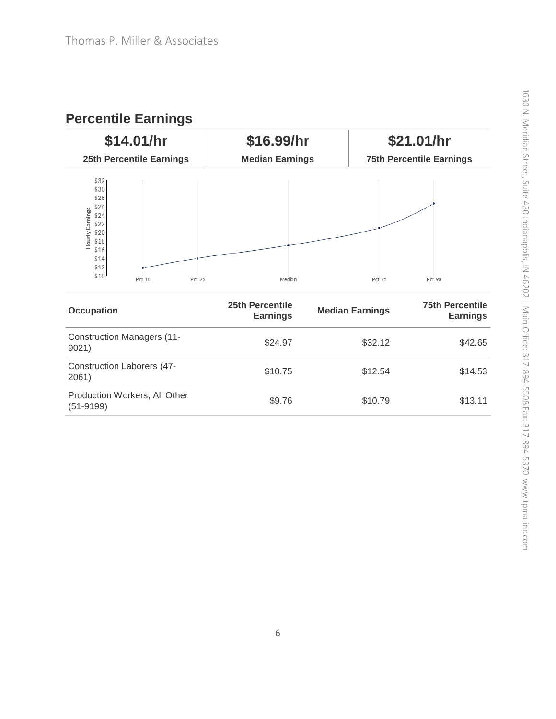

### **Percentile Earnings**

| <b>Occupation</b>                            | 25th Percentile<br><b>Earnings</b> | <b>Median Earnings</b> | <b>75th Percentile</b><br><b>Earnings</b> |
|----------------------------------------------|------------------------------------|------------------------|-------------------------------------------|
| <b>Construction Managers (11-</b><br>9021)   | \$24.97                            | \$32.12                | \$42.65                                   |
| <b>Construction Laborers (47-</b><br>2061)   | \$10.75                            | \$12.54                | \$14.53                                   |
| Production Workers, All Other<br>$(51-9199)$ | \$9.76                             | \$10.79                | \$13.11                                   |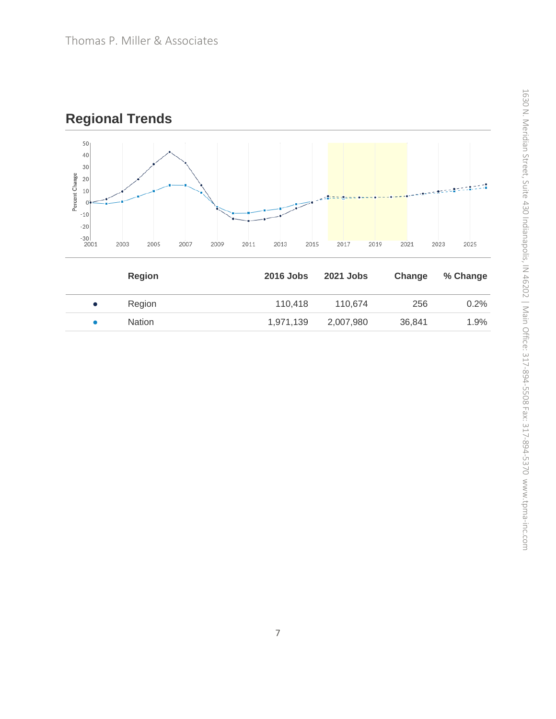

### **Regional Trends**

| <b>Region</b> | <b>2016 Jobs</b> | 2021 Jobs | Change | % Change |
|---------------|------------------|-----------|--------|----------|
| Region        | 110.418          | 110.674   | 256    | 0.2%     |
| <b>Nation</b> | 1,971,139        | 2,007,980 | 36.841 | 1.9%     |
|               |                  |           |        |          |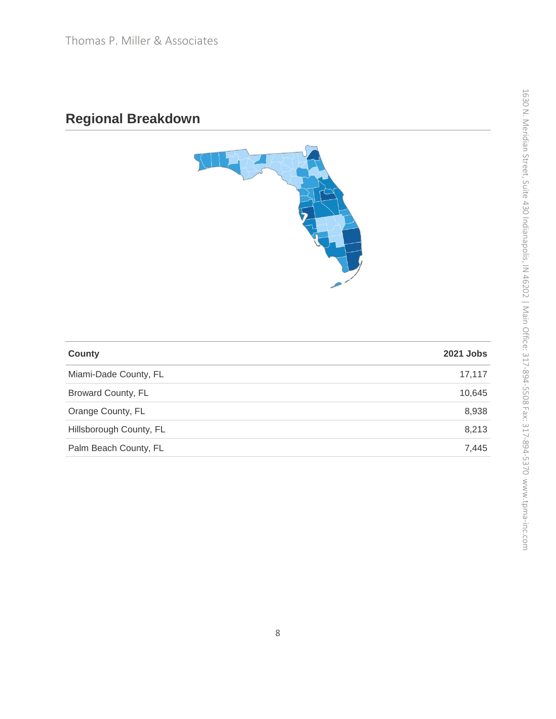### **Regional Breakdown**



| <b>County</b>             | 2021 Jobs |
|---------------------------|-----------|
| Miami-Dade County, FL     | 17,117    |
| <b>Broward County, FL</b> | 10,645    |
| Orange County, FL         | 8,938     |
| Hillsborough County, FL   | 8,213     |
| Palm Beach County, FL     | 7,445     |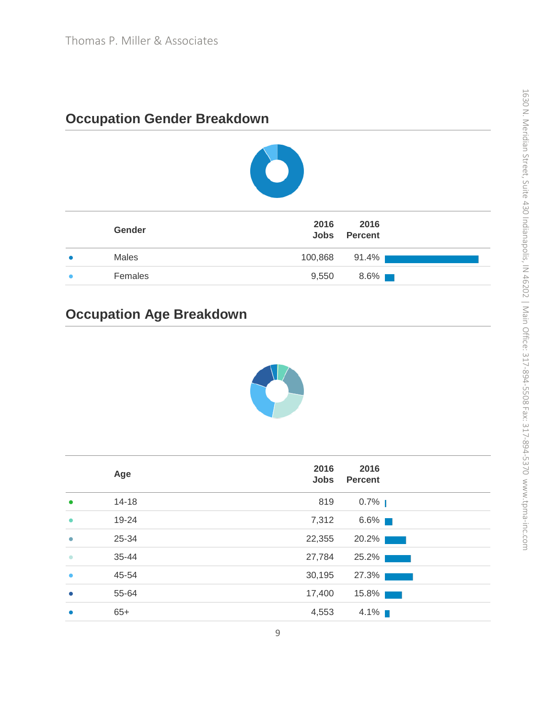| 2016<br>Gender<br>Jobs | 2016<br><b>Percent</b> |
|------------------------|------------------------|
| Males<br>100,868       | 91.4%                  |
| Females<br>9,550       | $8.6\%$                |

### **Occupation Gender Breakdown**

### **Occupation Age Breakdown**



|           | Age       | 2016<br>Jobs | 2016<br><b>Percent</b> |
|-----------|-----------|--------------|------------------------|
|           | $14 - 18$ | 819          | $0.7\%$                |
|           | 19-24     | 7,312        | $6.6\%$                |
| $\bullet$ | 25-34     | 22,355       | 20.2%                  |
| $\bullet$ | 35-44     | 27,784       | $25.2\%$               |
|           | 45-54     | 30,195       | 27.3%                  |
|           | 55-64     | 17,400       | $15.8\%$               |
| $\bullet$ | $65+$     | 4,553        | $4.1\%$                |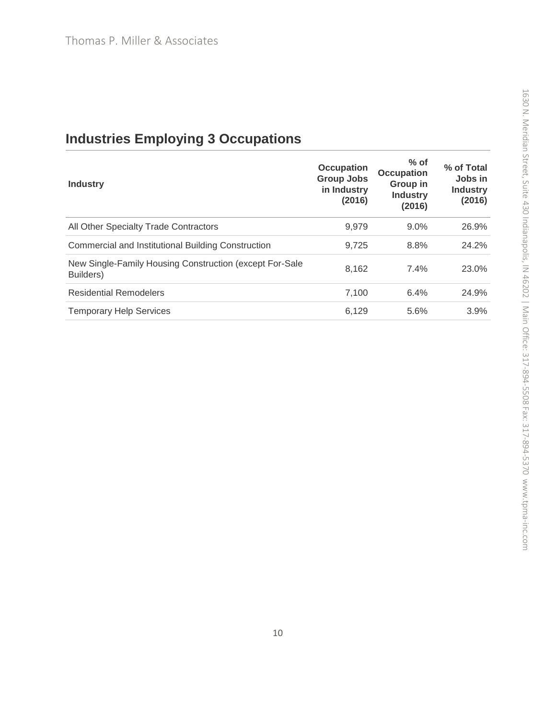# **Industries Employing 3 Occupations**

| <b>Industry</b>                                                      | <b>Occupation</b><br><b>Group Jobs</b><br>in Industry<br>(2016) | $%$ of<br><b>Occupation</b><br>Group in<br><b>Industry</b><br>(2016) | % of Total<br>Jobs in<br><b>Industry</b><br>(2016) |
|----------------------------------------------------------------------|-----------------------------------------------------------------|----------------------------------------------------------------------|----------------------------------------------------|
| All Other Specialty Trade Contractors                                | 9.979                                                           | $9.0\%$                                                              | 26.9%                                              |
| Commercial and Institutional Building Construction                   | 9.725                                                           | 8.8%                                                                 | 24.2%                                              |
| New Single-Family Housing Construction (except For-Sale<br>Builders) | 8.162                                                           | $7.4\%$                                                              | 23.0%                                              |
| <b>Residential Remodelers</b>                                        | 7.100                                                           | 6.4%                                                                 | 24.9%                                              |
| <b>Temporary Help Services</b>                                       | 6.129                                                           | 5.6%                                                                 | 3.9%                                               |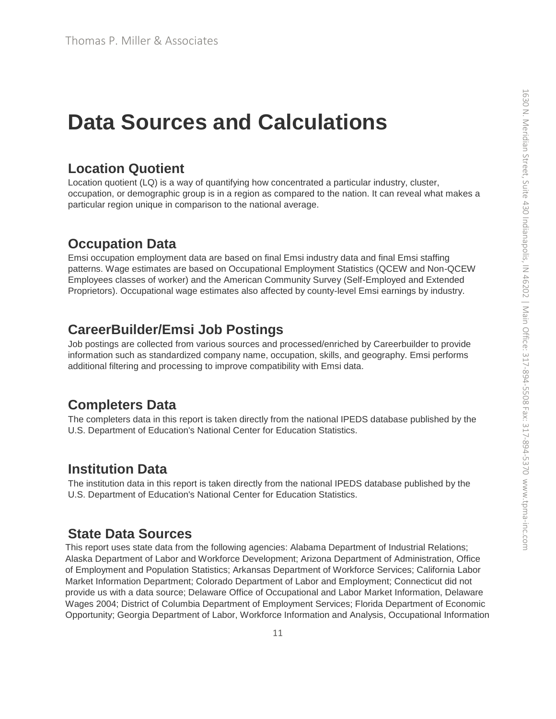# **Data Sources and Calculations**

#### **Location Quotient**

Location quotient (LQ) is a way of quantifying how concentrated a particular industry, cluster, occupation, or demographic group is in a region as compared to the nation. It can reveal what makes a particular region unique in comparison to the national average.

#### **Occupation Data**

Emsi occupation employment data are based on final Emsi industry data and final Emsi staffing patterns. Wage estimates are based on Occupational Employment Statistics (QCEW and Non-QCEW Employees classes of worker) and the American Community Survey (Self-Employed and Extended Proprietors). Occupational wage estimates also affected by county-level Emsi earnings by industry.

#### **CareerBuilder/Emsi Job Postings**

Job postings are collected from various sources and processed/enriched by Careerbuilder to provide information such as standardized company name, occupation, skills, and geography. Emsi performs additional filtering and processing to improve compatibility with Emsi data.

#### **Completers Data**

The completers data in this report is taken directly from the national IPEDS database published by the U.S. Department of Education's National Center for Education Statistics.

#### **Institution Data**

The institution data in this report is taken directly from the national IPEDS database published by the U.S. Department of Education's National Center for Education Statistics.

#### **State Data Sources**

This report uses state data from the following agencies: Alabama Department of Industrial Relations; Alaska Department of Labor and Workforce Development; Arizona Department of Administration, Office of Employment and Population Statistics; Arkansas Department of Workforce Services; California Labor Market Information Department; Colorado Department of Labor and Employment; Connecticut did not provide us with a data source; Delaware Office of Occupational and Labor Market Information, Delaware Wages 2004; District of Columbia Department of Employment Services; Florida Department of Economic Opportunity; Georgia Department of Labor, Workforce Information and Analysis, Occupational Information